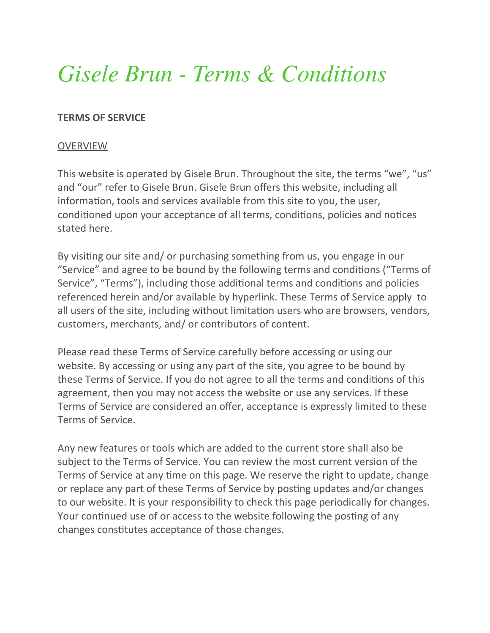## *Gisele Brun - Terms & Conditions*

#### **TERMS OF SERVICE**

#### **OVERVIEW**

This website is operated by Gisele Brun. Throughout the site, the terms "we", "us" and "our" refer to Gisele Brun. Gisele Brun offers this website, including all information, tools and services available from this site to you, the user, conditioned upon your acceptance of all terms, conditions, policies and notices stated here.

By visiting our site and/ or purchasing something from us, you engage in our "Service" and agree to be bound by the following terms and conditions ("Terms of Service", "Terms"), including those additional terms and conditions and policies referenced herein and/or available by hyperlink. These Terms of Service apply to all users of the site, including without limitation users who are browsers, vendors, customers, merchants, and/ or contributors of content.

Please read these Terms of Service carefully before accessing or using our website. By accessing or using any part of the site, you agree to be bound by these Terms of Service. If you do not agree to all the terms and conditions of this agreement, then you may not access the website or use any services. If these Terms of Service are considered an offer, acceptance is expressly limited to these Terms of Service.

Any new features or tools which are added to the current store shall also be subject to the Terms of Service. You can review the most current version of the Terms of Service at any time on this page. We reserve the right to update, change or replace any part of these Terms of Service by posting updates and/or changes to our website. It is your responsibility to check this page periodically for changes. Your continued use of or access to the website following the posting of any changes constitutes acceptance of those changes.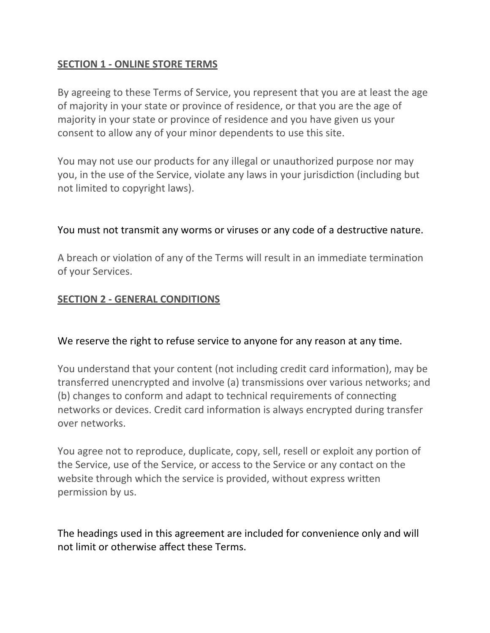#### **SECTION 1 - ONLINE STORE TERMS**

By agreeing to these Terms of Service, you represent that you are at least the age of majority in your state or province of residence, or that you are the age of majority in your state or province of residence and you have given us your consent to allow any of your minor dependents to use this site.

You may not use our products for any illegal or unauthorized purpose nor may you, in the use of the Service, violate any laws in your jurisdiction (including but not limited to copyright laws).

#### You must not transmit any worms or viruses or any code of a destructive nature.

A breach or violation of any of the Terms will result in an immediate termination of your Services.

#### **SECTION 2 - GENERAL CONDITIONS**

#### We reserve the right to refuse service to anyone for any reason at any time.

You understand that your content (not including credit card information), may be transferred unencrypted and involve (a) transmissions over various networks; and (b) changes to conform and adapt to technical requirements of connecting networks or devices. Credit card information is always encrypted during transfer over networks.

You agree not to reproduce, duplicate, copy, sell, resell or exploit any portion of the Service, use of the Service, or access to the Service or any contact on the website through which the service is provided, without express written permission by us.

The headings used in this agreement are included for convenience only and will not limit or otherwise affect these Terms.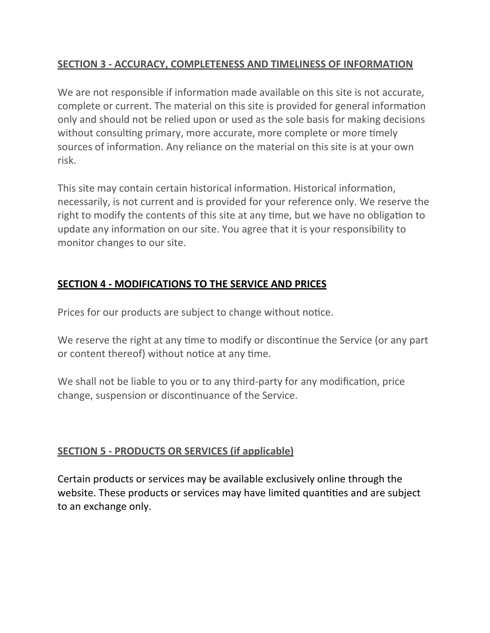## **SECTION 3 - ACCURACY, COMPLETENESS AND TIMELINESS OF INFORMATION**

We are not responsible if information made available on this site is not accurate, complete or current. The material on this site is provided for general information only and should not be relied upon or used as the sole basis for making decisions without consulting primary, more accurate, more complete or more timely sources of information. Any reliance on the material on this site is at your own risk.

This site may contain certain historical information. Historical information, necessarily, is not current and is provided for your reference only. We reserve the right to modify the contents of this site at any time, but we have no obligation to update any information on our site. You agree that it is your responsibility to monitor changes to our site.

## **SECTION 4 - MODIFICATIONS TO THE SERVICE AND PRICES**

Prices for our products are subject to change without notice.

We reserve the right at any time to modify or discontinue the Service (or any part or content thereof) without notice at any time.

We shall not be liable to you or to any third-party for any modification, price change, suspension or discontinuance of the Service.

## **SECTION 5 - PRODUCTS OR SERVICES (if applicable)**

Certain products or services may be available exclusively online through the website. These products or services may have limited quantities and are subject to an exchange only.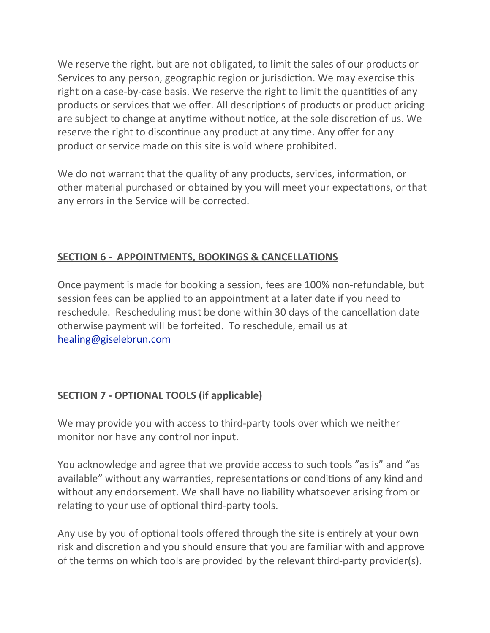We reserve the right, but are not obligated, to limit the sales of our products or Services to any person, geographic region or jurisdiction. We may exercise this right on a case-by-case basis. We reserve the right to limit the quantities of any products or services that we offer. All descriptions of products or product pricing are subject to change at anytime without notice, at the sole discretion of us. We reserve the right to discontinue any product at any time. Any offer for any product or service made on this site is void where prohibited.

We do not warrant that the quality of any products, services, information, or other material purchased or obtained by you will meet your expectations, or that any errors in the Service will be corrected.

## **SECTION 6 - APPOINTMENTS, BOOKINGS & CANCELLATIONS**

Once payment is made for booking a session, fees are 100% non-refundable, but session fees can be applied to an appointment at a later date if you need to reschedule. Rescheduling must be done within 30 days of the cancellation date otherwise payment will be forfeited. To reschedule, email us at [healing@giselebrun.com](mailto:healing@giselebrun.com)

## **SECTION 7 - OPTIONAL TOOLS (if applicable)**

We may provide you with access to third-party tools over which we neither monitor nor have any control nor input.

You acknowledge and agree that we provide access to such tools "as is" and "as available" without any warranties, representations or conditions of any kind and without any endorsement. We shall have no liability whatsoever arising from or relating to your use of optional third-party tools.

Any use by you of optional tools offered through the site is entirely at your own risk and discretion and you should ensure that you are familiar with and approve of the terms on which tools are provided by the relevant third-party provider(s).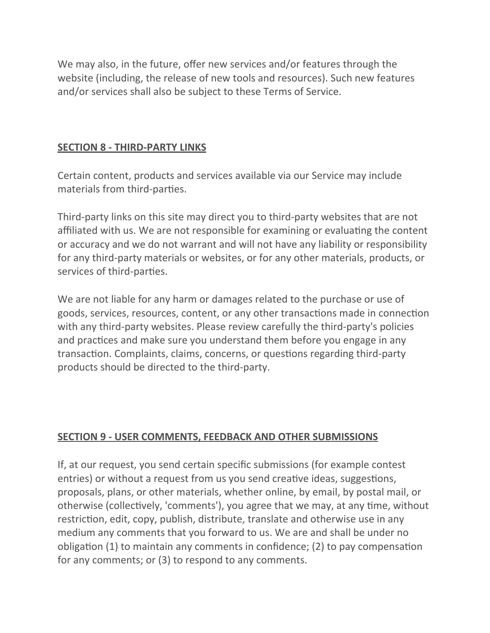We may also, in the future, offer new services and/or features through the website (including, the release of new tools and resources). Such new features and/or services shall also be subject to these Terms of Service.

#### **SECTION 8 - THIRD-PARTY LINKS**

Certain content, products and services available via our Service may include materials from third-parties.

Third-party links on this site may direct you to third-party websites that are not affiliated with us. We are not responsible for examining or evaluating the content or accuracy and we do not warrant and will not have any liability or responsibility for any third-party materials or websites, or for any other materials, products, or services of third-parties.

We are not liable for any harm or damages related to the purchase or use of goods, services, resources, content, or any other transactions made in connection with any third-party websites. Please review carefully the third-party's policies and practices and make sure you understand them before you engage in any transaction. Complaints, claims, concerns, or questions regarding third-party products should be directed to the third-party.

## **SECTION 9 - USER COMMENTS, FEEDBACK AND OTHER SUBMISSIONS**

If, at our request, you send certain specific submissions (for example contest entries) or without a request from us you send creative ideas, suggestions, proposals, plans, or other materials, whether online, by email, by postal mail, or otherwise (collectively, 'comments'), you agree that we may, at any time, without restriction, edit, copy, publish, distribute, translate and otherwise use in any medium any comments that you forward to us. We are and shall be under no obligation (1) to maintain any comments in confidence; (2) to pay compensation for any comments; or (3) to respond to any comments.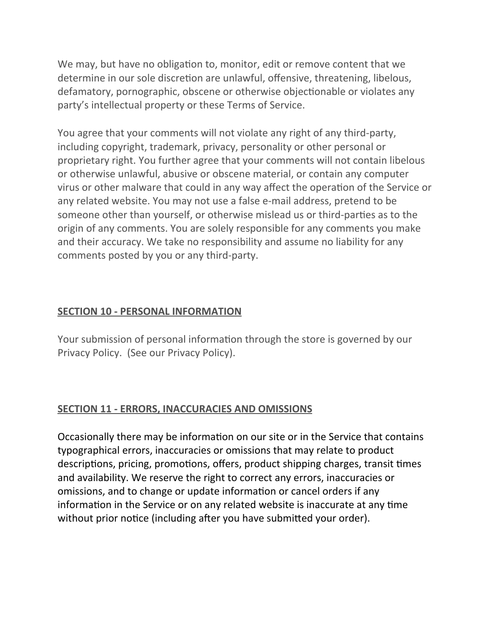We may, but have no obligation to, monitor, edit or remove content that we determine in our sole discretion are unlawful, offensive, threatening, libelous, defamatory, pornographic, obscene or otherwise objectionable or violates any party's intellectual property or these Terms of Service.

You agree that your comments will not violate any right of any third-party, including copyright, trademark, privacy, personality or other personal or proprietary right. You further agree that your comments will not contain libelous or otherwise unlawful, abusive or obscene material, or contain any computer virus or other malware that could in any way affect the operation of the Service or any related website. You may not use a false e-mail address, pretend to be someone other than yourself, or otherwise mislead us or third-parties as to the origin of any comments. You are solely responsible for any comments you make and their accuracy. We take no responsibility and assume no liability for any comments posted by you or any third-party.

#### **SECTION 10 - PERSONAL INFORMATION**

Your submission of personal information through the store is governed by our Privacy Policy. (See our Privacy Policy).

#### **SECTION 11 - ERRORS, INACCURACIES AND OMISSIONS**

Occasionally there may be information on our site or in the Service that contains typographical errors, inaccuracies or omissions that may relate to product descriptions, pricing, promotions, offers, product shipping charges, transit times and availability. We reserve the right to correct any errors, inaccuracies or omissions, and to change or update information or cancel orders if any information in the Service or on any related website is inaccurate at any time without prior notice (including after you have submitted your order).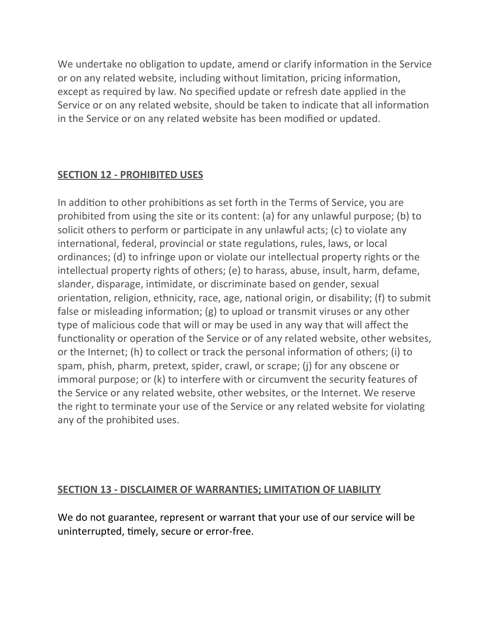We undertake no obligation to update, amend or clarify information in the Service or on any related website, including without limitation, pricing information, except as required by law. No specified update or refresh date applied in the Service or on any related website, should be taken to indicate that all information in the Service or on any related website has been modified or updated.

## **SECTION 12 - PROHIBITED USES**

In addition to other prohibitions as set forth in the Terms of Service, you are prohibited from using the site or its content: (a) for any unlawful purpose; (b) to solicit others to perform or participate in any unlawful acts; (c) to violate any international, federal, provincial or state regulations, rules, laws, or local ordinances; (d) to infringe upon or violate our intellectual property rights or the intellectual property rights of others; (e) to harass, abuse, insult, harm, defame, slander, disparage, intimidate, or discriminate based on gender, sexual orientation, religion, ethnicity, race, age, national origin, or disability; (f) to submit false or misleading information; (g) to upload or transmit viruses or any other type of malicious code that will or may be used in any way that will affect the functionality or operation of the Service or of any related website, other websites, or the Internet; (h) to collect or track the personal information of others; (i) to spam, phish, pharm, pretext, spider, crawl, or scrape; (i) for any obscene or immoral purpose; or (k) to interfere with or circumvent the security features of the Service or any related website, other websites, or the Internet. We reserve the right to terminate your use of the Service or any related website for violating any of the prohibited uses.

## **SECTION 13 - DISCLAIMER OF WARRANTIES; LIMITATION OF LIABILITY**

We do not guarantee, represent or warrant that your use of our service will be uninterrupted, timely, secure or error-free.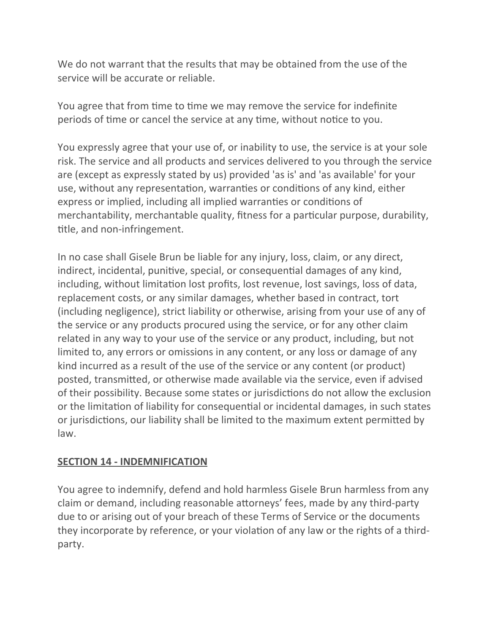We do not warrant that the results that may be obtained from the use of the service will be accurate or reliable.

You agree that from time to time we may remove the service for indefinite periods of time or cancel the service at any time, without notice to you.

You expressly agree that your use of, or inability to use, the service is at your sole risk. The service and all products and services delivered to you through the service are (except as expressly stated by us) provided 'as is' and 'as available' for your use, without any representation, warranties or conditions of any kind, either express or implied, including all implied warranties or conditions of merchantability, merchantable quality, fitness for a particular purpose, durability, title, and non-infringement.

In no case shall Gisele Brun be liable for any injury, loss, claim, or any direct, indirect, incidental, punitive, special, or consequential damages of any kind, including, without limitation lost profits, lost revenue, lost savings, loss of data, replacement costs, or any similar damages, whether based in contract, tort (including negligence), strict liability or otherwise, arising from your use of any of the service or any products procured using the service, or for any other claim related in any way to your use of the service or any product, including, but not limited to, any errors or omissions in any content, or any loss or damage of any kind incurred as a result of the use of the service or any content (or product) posted, transmitted, or otherwise made available via the service, even if advised of their possibility. Because some states or jurisdictions do not allow the exclusion or the limitation of liability for consequential or incidental damages, in such states or jurisdictions, our liability shall be limited to the maximum extent permitted by law.

#### **SECTION 14 - INDEMNIFICATION**

You agree to indemnify, defend and hold harmless Gisele Brun harmless from any claim or demand, including reasonable attorneys' fees, made by any third-party due to or arising out of your breach of these Terms of Service or the documents they incorporate by reference, or your violation of any law or the rights of a thirdparty.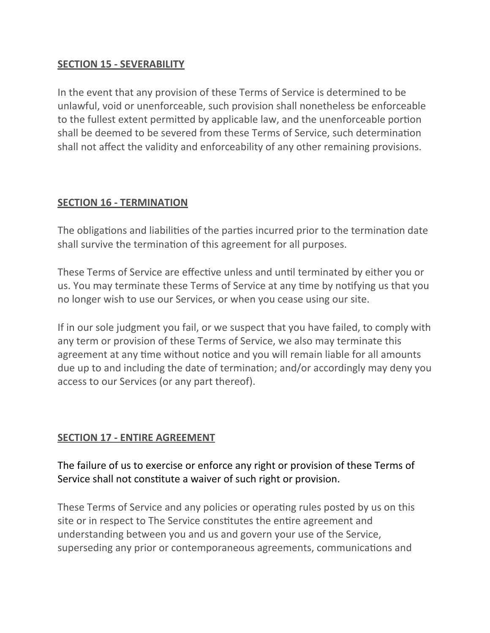#### **SECTION 15 - SEVERABILITY**

In the event that any provision of these Terms of Service is determined to be unlawful, void or unenforceable, such provision shall nonetheless be enforceable to the fullest extent permitted by applicable law, and the unenforceable portion shall be deemed to be severed from these Terms of Service, such determination shall not affect the validity and enforceability of any other remaining provisions.

#### **SECTION 16 - TERMINATION**

The obligations and liabilities of the parties incurred prior to the termination date shall survive the termination of this agreement for all purposes.

These Terms of Service are effective unless and until terminated by either you or us. You may terminate these Terms of Service at any time by notifying us that you no longer wish to use our Services, or when you cease using our site.

If in our sole judgment you fail, or we suspect that you have failed, to comply with any term or provision of these Terms of Service, we also may terminate this agreement at any time without notice and you will remain liable for all amounts due up to and including the date of termination; and/or accordingly may deny you access to our Services (or any part thereof).

#### **SECTION 17 - ENTIRE AGREEMENT**

The failure of us to exercise or enforce any right or provision of these Terms of Service shall not constitute a waiver of such right or provision.

These Terms of Service and any policies or operating rules posted by us on this site or in respect to The Service constitutes the entire agreement and understanding between you and us and govern your use of the Service, superseding any prior or contemporaneous agreements, communications and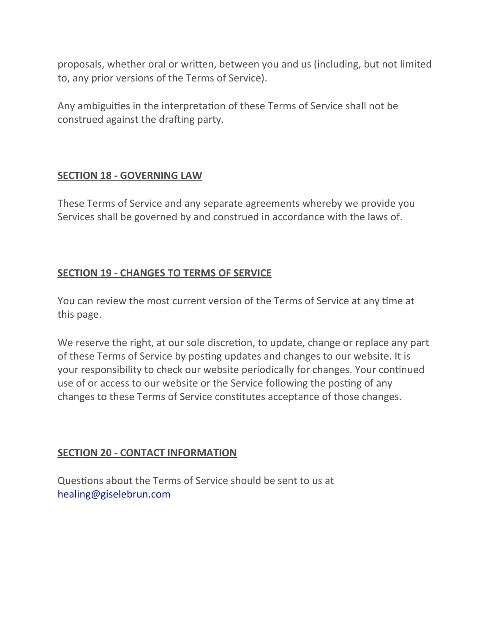proposals, whether oral or written, between you and us (including, but not limited to, any prior versions of the Terms of Service).

Any ambiguities in the interpretation of these Terms of Service shall not be construed against the drafting party.

#### **SECTION 18 - GOVERNING LAW**

These Terms of Service and any separate agreements whereby we provide you Services shall be governed by and construed in accordance with the laws of.

## **SECTION 19 - CHANGES TO TERMS OF SERVICE**

You can review the most current version of the Terms of Service at any time at this page.

We reserve the right, at our sole discretion, to update, change or replace any part of these Terms of Service by posting updates and changes to our website. It is your responsibility to check our website periodically for changes. Your continued use of or access to our website or the Service following the posting of any changes to these Terms of Service constitutes acceptance of those changes.

## **SECTION 20 - CONTACT INFORMATION**

Questions about the Terms of Service should be sent to us at [healing@giselebrun.com](mailto:healing@giselebrun.com)